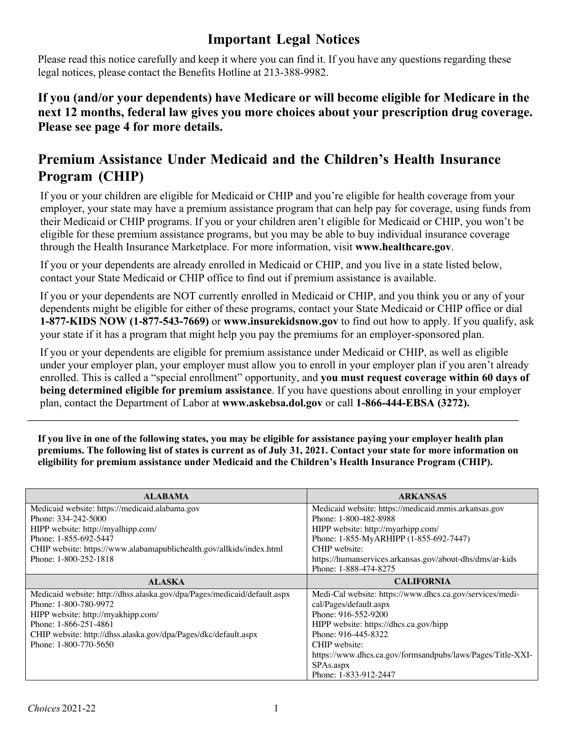# **Important Legal Notices**

Please read this notice carefully and keep it where you can find it. If you have any questions regarding these legal notices, please contact the Benefits Hotline at 213-388-9982.

## **If you (and/or your dependents) have Medicare or will become eligible for Medicare in the next 12 months, federal law gives you more choices about your prescription drug coverage. Please see page 4 for more details.**

# **Premium Assistance Under Medicaid and the Children's Health Insurance Program (CHIP)**

If you or your children are eligible for Medicaid or CHIP and you're eligible for health coverage from your employer, your state may have a premium assistance program that can help pay for coverage, using funds from their Medicaid or CHIP programs. If you or your children aren't eligible for Medicaid or CHIP, you won't be eligible for these premium assistance programs, but you may be able to buy individual insurance coverage through the Health Insurance Marketplace. For more information, visit **www.healthcare.gov**.

If you or your dependents are already enrolled in Medicaid or CHIP, and you live in a state listed below, contact your State Medicaid or CHIP office to find out if premium assistance is available.

If you or your dependents are NOT currently enrolled in Medicaid or CHIP, and you think you or any of your dependents might be eligible for either of these programs, contact your State Medicaid or CHIP office or dial **1-877-KIDS NOW (1-877-543-7669)** or **www.insurekidsnow.gov** to find out how to apply. If you qualify, ask your state if it has a program that might help you pay the premiums for an employer-sponsored plan.

If you or your dependents are eligible for premium assistance under Medicaid or CHIP, as well as eligible under your employer plan, your employer must allow you to enroll in your employer plan if you aren't already enrolled. This is called a "special enrollment" opportunity, and **you must request coverage within 60 days of being determined eligible for premium assistance**. If you have questions about enrolling in your employer plan, contact the Department of Labor at **www.askebsa.dol.gov** or call **1-866-444-EBSA (3272).**

**If you live in one of the following states, you may be eligible for assistance paying your employer health plan premiums. The following list of states is current as of July 31, 2021. Contact your state for more information on eligibility for premium assistance under Medicaid and the Children's Health Insurance Program (CHIP).**

| <b>ALABAMA</b>                                                           | <b>ARKANSAS</b>                                            |  |
|--------------------------------------------------------------------------|------------------------------------------------------------|--|
| Medicaid website: https://medicaid.alabama.gov                           | Medicaid website: https://medicaid.mmis.arkansas.gov       |  |
| Phone: 334-242-5000                                                      | Phone: 1-800-482-8988                                      |  |
| HIPP website: http://myalhipp.com/                                       | HIPP website: http://myarhipp.com/                         |  |
| Phone: 1-855-692-5447                                                    | Phone: 1-855-MyARHIPP (1-855-692-7447)                     |  |
| CHIP website: https://www.alabamapublichealth.gov/allkids/index.html     | CHIP website:                                              |  |
| Phone: 1-800-252-1818                                                    | https://humanservices.arkansas.gov/about-dhs/dms/ar-kids   |  |
|                                                                          | Phone: 1-888-474-8275                                      |  |
| <b>ALASKA</b>                                                            | <b>CALIFORNIA</b>                                          |  |
| Medicaid website: http://dhss.alaska.gov/dpa/Pages/medicaid/default.aspx | Medi-Cal website: https://www.dhcs.ca.gov/services/medi-   |  |
| Phone: 1-800-780-9972                                                    | cal/Pages/default.aspx                                     |  |
| HIPP website: http://myakhipp.com/                                       | Phone: 916-552-9200                                        |  |
| Phone: 1-866-251-4861                                                    | HIPP website: https://dhcs.ca.gov/hipp                     |  |
| CHIP website: http://dhss.alaska.gov/dpa/Pages/dkc/default.aspx          | Phone: 916-445-8322                                        |  |
| Phone: 1-800-770-5650                                                    | CHIP website:                                              |  |
|                                                                          | https://www.dhcs.ca.gov/formsandpubs/laws/Pages/Title-XXI- |  |
|                                                                          | SPAs.aspx                                                  |  |
|                                                                          | Phone: 1-833-912-2447                                      |  |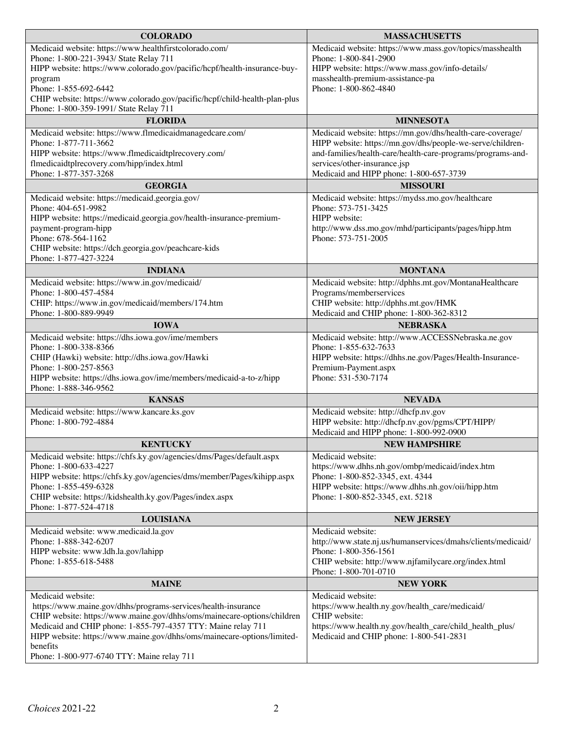| <b>COLORADO</b>                                                                              | <b>MASSACHUSETTS</b>                                                          |  |
|----------------------------------------------------------------------------------------------|-------------------------------------------------------------------------------|--|
| Medicaid website: https://www.healthfirstcolorado.com/                                       | Medicaid website: https://www.mass.gov/topics/masshealth                      |  |
| Phone: 1-800-221-3943/ State Relay 711                                                       | Phone: 1-800-841-2900                                                         |  |
| HIPP website: https://www.colorado.gov/pacific/hcpf/health-insurance-buy-                    | HIPP website: https://www.mass.gov/info-details/                              |  |
| program                                                                                      | masshealth-premium-assistance-pa                                              |  |
| Phone: 1-855-692-6442                                                                        | Phone: 1-800-862-4840                                                         |  |
| CHIP website: https://www.colorado.gov/pacific/hcpf/child-health-plan-plus                   |                                                                               |  |
| Phone: 1-800-359-1991/ State Relay 711                                                       |                                                                               |  |
| <b>FLORIDA</b>                                                                               | <b>MINNESOTA</b>                                                              |  |
| Medicaid website: https://www.flmedicaidmanagedcare.com/                                     | Medicaid website: https://mn.gov/dhs/health-care-coverage/                    |  |
| Phone: 1-877-711-3662                                                                        | HIPP website: https://mn.gov/dhs/people-we-serve/children-                    |  |
| HIPP website: https://www.flmedicaidtplrecovery.com/                                         | and-families/health-care/health-care-programs/programs-and-                   |  |
| flmedicaidtplrecovery.com/hipp/index.html<br>Phone: 1-877-357-3268                           | services/other-insurance.jsp                                                  |  |
|                                                                                              | Medicaid and HIPP phone: 1-800-657-3739                                       |  |
| <b>GEORGIA</b>                                                                               | <b>MISSOURI</b>                                                               |  |
| Medicaid website: https://medicaid.georgia.gov/                                              | Medicaid website: https://mydss.mo.gov/healthcare                             |  |
| Phone: 404-651-9982                                                                          | Phone: 573-751-3425                                                           |  |
| HIPP website: https://medicaid.georgia.gov/health-insurance-premium-<br>payment-program-hipp | HIPP website:<br>http://www.dss.mo.gov/mhd/participants/pages/hipp.htm        |  |
| Phone: 678-564-1162                                                                          | Phone: 573-751-2005                                                           |  |
| CHIP website: https://dch.georgia.gov/peachcare-kids                                         |                                                                               |  |
| Phone: 1-877-427-3224                                                                        |                                                                               |  |
| <b>INDIANA</b>                                                                               | <b>MONTANA</b>                                                                |  |
| Medicaid website: https://www.in.gov/medicaid/                                               | Medicaid website: http://dphhs.mt.gov/MontanaHealthcare                       |  |
| Phone: 1-800-457-4584                                                                        | Programs/memberservices                                                       |  |
| CHIP: https://www.in.gov/medicaid/members/174.htm                                            | CHIP website: http://dphhs.mt.gov/HMK                                         |  |
| Phone: 1-800-889-9949                                                                        | Medicaid and CHIP phone: 1-800-362-8312                                       |  |
| <b>IOWA</b>                                                                                  | <b>NEBRASKA</b>                                                               |  |
| Medicaid website: https://dhs.iowa.gov/ime/members                                           | Medicaid website: http://www.ACCESSNebraska.ne.gov                            |  |
| Phone: 1-800-338-8366                                                                        | Phone: 1-855-632-7633                                                         |  |
| CHIP (Hawki) website: http://dhs.iowa.gov/Hawki                                              | HIPP website: https://dhhs.ne.gov/Pages/Health-Insurance-                     |  |
| Phone: 1-800-257-8563                                                                        | Premium-Payment.aspx                                                          |  |
| HIPP website: https://dhs.iowa.gov/ime/members/medicaid-a-to-z/hipp<br>Phone: 1-888-346-9562 | Phone: 531-530-7174                                                           |  |
| <b>KANSAS</b>                                                                                | <b>NEVADA</b>                                                                 |  |
| Medicaid website: https://www.kancare.ks.gov                                                 | Medicaid website: http://dhcfp.nv.gov                                         |  |
| Phone: 1-800-792-4884                                                                        | HIPP website: http://dhcfp.nv.gov/pgms/CPT/HIPP/                              |  |
|                                                                                              | Medicaid and HIPP phone: 1-800-992-0900                                       |  |
| <b>KENTUCKY</b>                                                                              | <b>NEW HAMPSHIRE</b>                                                          |  |
| Medicaid website: https://chfs.ky.gov/agencies/dms/Pages/default.aspx                        | Medicaid website:                                                             |  |
| Phone: 1-800-633-4227                                                                        | https://www.dhhs.nh.gov/ombp/medicaid/index.htm                               |  |
| HIPP website: https://chfs.ky.gov/agencies/dms/member/Pages/kihipp.aspx                      | Phone: 1-800-852-3345, ext. 4344                                              |  |
| Phone: 1-855-459-6328                                                                        | HIPP website: https://www.dhhs.nh.gov/oii/hipp.htm                            |  |
| CHIP website: https://kidshealth.ky.gov/Pages/index.aspx                                     | Phone: 1-800-852-3345, ext. 5218                                              |  |
| Phone: 1-877-524-4718                                                                        |                                                                               |  |
| <b>LOUISIANA</b>                                                                             | <b>NEW JERSEY</b>                                                             |  |
| Medicaid website: www.medicaid.la.gov                                                        | Medicaid website:                                                             |  |
| Phone: 1-888-342-6207                                                                        | http://www.state.nj.us/humanservices/dmahs/clients/medicaid/                  |  |
| HIPP website: www.ldh.la.gov/lahipp                                                          | Phone: 1-800-356-1561                                                         |  |
| Phone: 1-855-618-5488                                                                        | CHIP website: http://www.njfamilycare.org/index.html<br>Phone: 1-800-701-0710 |  |
| <b>MAINE</b>                                                                                 | <b>NEW YORK</b>                                                               |  |
| Medicaid website:                                                                            | Medicaid website:                                                             |  |
| https://www.maine.gov/dhhs/programs-services/health-insurance                                | https://www.health.ny.gov/health_care/medicaid/                               |  |
| CHIP website: https://www.maine.gov/dhhs/oms/mainecare-options/children                      | CHIP website:                                                                 |  |
| Medicaid and CHIP phone: 1-855-797-4357 TTY: Maine relay 711                                 | https://www.health.ny.gov/health_care/child_health_plus/                      |  |
| HIPP website: https://www.maine.gov/dhhs/oms/mainecare-options/limited-                      | Medicaid and CHIP phone: 1-800-541-2831                                       |  |
| benefits                                                                                     |                                                                               |  |
| Phone: 1-800-977-6740 TTY: Maine relay 711                                                   |                                                                               |  |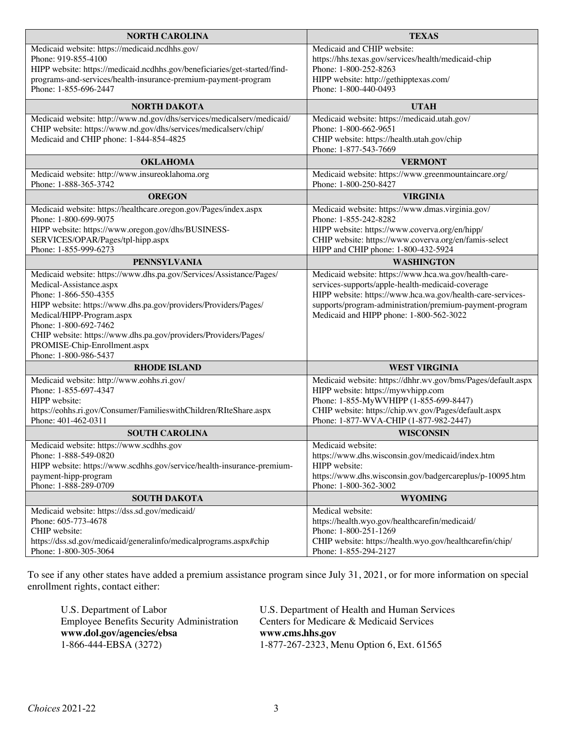| Medicaid website: https://medicaid.ncdhhs.gov/<br>Medicaid and CHIP website:<br>Phone: 919-855-4100<br>https://hhs.texas.gov/services/health/medicaid-chip<br>Phone: 1-800-252-8263<br>HIPP website: https://medicaid.ncdhhs.gov/beneficiaries/get-started/find-<br>programs-and-services/health-insurance-premium-payment-program<br>HIPP website: http://gethipptexas.com/<br>Phone: 1-855-696-2447<br>Phone: 1-800-440-0493<br><b>UTAH</b><br><b>NORTH DAKOTA</b><br>Medicaid website: https://medicaid.utah.gov/<br>Medicaid website: http://www.nd.gov/dhs/services/medicalserv/medicaid/<br>CHIP website: https://www.nd.gov/dhs/services/medicalserv/chip/<br>Phone: 1-800-662-9651<br>Medicaid and CHIP phone: 1-844-854-4825<br>CHIP website: https://health.utah.gov/chip<br>Phone: 1-877-543-7669<br><b>OKLAHOMA</b><br><b>VERMONT</b><br>Medicaid website: https://www.greenmountaincare.org/<br>Medicaid website: http://www.insureoklahoma.org<br>Phone: 1-888-365-3742<br>Phone: 1-800-250-8427<br><b>OREGON</b><br><b>VIRGINIA</b><br>Medicaid website: https://www.dmas.virginia.gov/<br>Medicaid website: https://healthcare.oregon.gov/Pages/index.aspx<br>Phone: 1-800-699-9075<br>Phone: 1-855-242-8282<br>HIPP website: https://www.oregon.gov/dhs/BUSINESS-<br>HIPP website: https://www.coverva.org/en/hipp/<br>SERVICES/OPAR/Pages/tpl-hipp.aspx<br>CHIP website: https://www.coverva.org/en/famis-select<br>Phone: 1-855-999-6273<br>HIPP and CHIP phone: 1-800-432-5924<br><b>PENNSYLVANIA</b><br><b>WASHINGTON</b><br>Medicaid website: https://www.hca.wa.gov/health-care-<br>Medicaid website: https://www.dhs.pa.gov/Services/Assistance/Pages/<br>services-supports/apple-health-medicaid-coverage<br>Medical-Assistance.aspx<br>Phone: 1-866-550-4355<br>HIPP website: https://www.hca.wa.gov/health-care-services-<br>supports/program-administration/premium-payment-program<br>HIPP website: https://www.dhs.pa.gov/providers/Providers/Pages/<br>Medicaid and HIPP phone: 1-800-562-3022<br>Medical/HIPP-Program.aspx<br>Phone: 1-800-692-7462<br>CHIP website: https://www.dhs.pa.gov/providers/Providers/Pages/<br>PROMISE-Chip-Enrollment.aspx<br>Phone: 1-800-986-5437<br><b>RHODE ISLAND</b><br><b>WEST VIRGINIA</b><br>Medicaid website: https://dhhr.wv.gov/bms/Pages/default.aspx<br>Medicaid website: http://www.eohhs.ri.gov/<br>HIPP website: https://mywvhipp.com<br>Phone: 1-855-697-4347<br>Phone: 1-855-MyWVHIPP (1-855-699-8447)<br>HIPP website:<br>CHIP website: https://chip.wv.gov/Pages/default.aspx<br>https://eohhs.ri.gov/Consumer/FamilieswithChildren/RIteShare.aspx<br>Phone: 1-877-WVA-CHIP (1-877-982-2447)<br>Phone: 401-462-0311<br><b>SOUTH CAROLINA</b><br><b>WISCONSIN</b><br>Medicaid website: https://www.scdhhs.gov<br>Medicaid website:<br>Phone: 1-888-549-0820<br>https://www.dhs.wisconsin.gov/medicaid/index.htm<br>HIPP website: https://www.scdhhs.gov/service/health-insurance-premium-<br>HIPP website:<br>https://www.dhs.wisconsin.gov/badgercareplus/p-10095.htm<br>payment-hipp-program<br>Phone: 1-888-289-0709<br>Phone: 1-800-362-3002<br><b>SOUTH DAKOTA</b><br><b>WYOMING</b><br>Medicaid website: https://dss.sd.gov/medicaid/<br>Medical website:<br>Phone: 605-773-4678<br>https://health.wyo.gov/healthcarefin/medicaid/<br>CHIP website:<br>Phone: 1-800-251-1269<br>https://dss.sd.gov/medicaid/generalinfo/medicalprograms.aspx#chip<br>CHIP website: https://health.wyo.gov/healthcarefin/chip/<br>Phone: 1-800-305-3064<br>Phone: 1-855-294-2127 | <b>NORTH CAROLINA</b> | <b>TEXAS</b> |  |
|-------------------------------------------------------------------------------------------------------------------------------------------------------------------------------------------------------------------------------------------------------------------------------------------------------------------------------------------------------------------------------------------------------------------------------------------------------------------------------------------------------------------------------------------------------------------------------------------------------------------------------------------------------------------------------------------------------------------------------------------------------------------------------------------------------------------------------------------------------------------------------------------------------------------------------------------------------------------------------------------------------------------------------------------------------------------------------------------------------------------------------------------------------------------------------------------------------------------------------------------------------------------------------------------------------------------------------------------------------------------------------------------------------------------------------------------------------------------------------------------------------------------------------------------------------------------------------------------------------------------------------------------------------------------------------------------------------------------------------------------------------------------------------------------------------------------------------------------------------------------------------------------------------------------------------------------------------------------------------------------------------------------------------------------------------------------------------------------------------------------------------------------------------------------------------------------------------------------------------------------------------------------------------------------------------------------------------------------------------------------------------------------------------------------------------------------------------------------------------------------------------------------------------------------------------------------------------------------------------------------------------------------------------------------------------------------------------------------------------------------------------------------------------------------------------------------------------------------------------------------------------------------------------------------------------------------------------------------------------------------------------------------------------------------------------------------------------------------------------------------------------------------------------------------------------------------------------------------------------------------------------------------------------------------------------------------------------------------------------------------------------------------------------------------------------------------------------------------------------------------------------------------------------------------------------|-----------------------|--------------|--|
|                                                                                                                                                                                                                                                                                                                                                                                                                                                                                                                                                                                                                                                                                                                                                                                                                                                                                                                                                                                                                                                                                                                                                                                                                                                                                                                                                                                                                                                                                                                                                                                                                                                                                                                                                                                                                                                                                                                                                                                                                                                                                                                                                                                                                                                                                                                                                                                                                                                                                                                                                                                                                                                                                                                                                                                                                                                                                                                                                                                                                                                                                                                                                                                                                                                                                                                                                                                                                                                                                                                                                       |                       |              |  |
|                                                                                                                                                                                                                                                                                                                                                                                                                                                                                                                                                                                                                                                                                                                                                                                                                                                                                                                                                                                                                                                                                                                                                                                                                                                                                                                                                                                                                                                                                                                                                                                                                                                                                                                                                                                                                                                                                                                                                                                                                                                                                                                                                                                                                                                                                                                                                                                                                                                                                                                                                                                                                                                                                                                                                                                                                                                                                                                                                                                                                                                                                                                                                                                                                                                                                                                                                                                                                                                                                                                                                       |                       |              |  |
|                                                                                                                                                                                                                                                                                                                                                                                                                                                                                                                                                                                                                                                                                                                                                                                                                                                                                                                                                                                                                                                                                                                                                                                                                                                                                                                                                                                                                                                                                                                                                                                                                                                                                                                                                                                                                                                                                                                                                                                                                                                                                                                                                                                                                                                                                                                                                                                                                                                                                                                                                                                                                                                                                                                                                                                                                                                                                                                                                                                                                                                                                                                                                                                                                                                                                                                                                                                                                                                                                                                                                       |                       |              |  |
|                                                                                                                                                                                                                                                                                                                                                                                                                                                                                                                                                                                                                                                                                                                                                                                                                                                                                                                                                                                                                                                                                                                                                                                                                                                                                                                                                                                                                                                                                                                                                                                                                                                                                                                                                                                                                                                                                                                                                                                                                                                                                                                                                                                                                                                                                                                                                                                                                                                                                                                                                                                                                                                                                                                                                                                                                                                                                                                                                                                                                                                                                                                                                                                                                                                                                                                                                                                                                                                                                                                                                       |                       |              |  |
|                                                                                                                                                                                                                                                                                                                                                                                                                                                                                                                                                                                                                                                                                                                                                                                                                                                                                                                                                                                                                                                                                                                                                                                                                                                                                                                                                                                                                                                                                                                                                                                                                                                                                                                                                                                                                                                                                                                                                                                                                                                                                                                                                                                                                                                                                                                                                                                                                                                                                                                                                                                                                                                                                                                                                                                                                                                                                                                                                                                                                                                                                                                                                                                                                                                                                                                                                                                                                                                                                                                                                       |                       |              |  |
|                                                                                                                                                                                                                                                                                                                                                                                                                                                                                                                                                                                                                                                                                                                                                                                                                                                                                                                                                                                                                                                                                                                                                                                                                                                                                                                                                                                                                                                                                                                                                                                                                                                                                                                                                                                                                                                                                                                                                                                                                                                                                                                                                                                                                                                                                                                                                                                                                                                                                                                                                                                                                                                                                                                                                                                                                                                                                                                                                                                                                                                                                                                                                                                                                                                                                                                                                                                                                                                                                                                                                       |                       |              |  |
|                                                                                                                                                                                                                                                                                                                                                                                                                                                                                                                                                                                                                                                                                                                                                                                                                                                                                                                                                                                                                                                                                                                                                                                                                                                                                                                                                                                                                                                                                                                                                                                                                                                                                                                                                                                                                                                                                                                                                                                                                                                                                                                                                                                                                                                                                                                                                                                                                                                                                                                                                                                                                                                                                                                                                                                                                                                                                                                                                                                                                                                                                                                                                                                                                                                                                                                                                                                                                                                                                                                                                       |                       |              |  |
|                                                                                                                                                                                                                                                                                                                                                                                                                                                                                                                                                                                                                                                                                                                                                                                                                                                                                                                                                                                                                                                                                                                                                                                                                                                                                                                                                                                                                                                                                                                                                                                                                                                                                                                                                                                                                                                                                                                                                                                                                                                                                                                                                                                                                                                                                                                                                                                                                                                                                                                                                                                                                                                                                                                                                                                                                                                                                                                                                                                                                                                                                                                                                                                                                                                                                                                                                                                                                                                                                                                                                       |                       |              |  |
|                                                                                                                                                                                                                                                                                                                                                                                                                                                                                                                                                                                                                                                                                                                                                                                                                                                                                                                                                                                                                                                                                                                                                                                                                                                                                                                                                                                                                                                                                                                                                                                                                                                                                                                                                                                                                                                                                                                                                                                                                                                                                                                                                                                                                                                                                                                                                                                                                                                                                                                                                                                                                                                                                                                                                                                                                                                                                                                                                                                                                                                                                                                                                                                                                                                                                                                                                                                                                                                                                                                                                       |                       |              |  |
|                                                                                                                                                                                                                                                                                                                                                                                                                                                                                                                                                                                                                                                                                                                                                                                                                                                                                                                                                                                                                                                                                                                                                                                                                                                                                                                                                                                                                                                                                                                                                                                                                                                                                                                                                                                                                                                                                                                                                                                                                                                                                                                                                                                                                                                                                                                                                                                                                                                                                                                                                                                                                                                                                                                                                                                                                                                                                                                                                                                                                                                                                                                                                                                                                                                                                                                                                                                                                                                                                                                                                       |                       |              |  |
|                                                                                                                                                                                                                                                                                                                                                                                                                                                                                                                                                                                                                                                                                                                                                                                                                                                                                                                                                                                                                                                                                                                                                                                                                                                                                                                                                                                                                                                                                                                                                                                                                                                                                                                                                                                                                                                                                                                                                                                                                                                                                                                                                                                                                                                                                                                                                                                                                                                                                                                                                                                                                                                                                                                                                                                                                                                                                                                                                                                                                                                                                                                                                                                                                                                                                                                                                                                                                                                                                                                                                       |                       |              |  |
|                                                                                                                                                                                                                                                                                                                                                                                                                                                                                                                                                                                                                                                                                                                                                                                                                                                                                                                                                                                                                                                                                                                                                                                                                                                                                                                                                                                                                                                                                                                                                                                                                                                                                                                                                                                                                                                                                                                                                                                                                                                                                                                                                                                                                                                                                                                                                                                                                                                                                                                                                                                                                                                                                                                                                                                                                                                                                                                                                                                                                                                                                                                                                                                                                                                                                                                                                                                                                                                                                                                                                       |                       |              |  |
|                                                                                                                                                                                                                                                                                                                                                                                                                                                                                                                                                                                                                                                                                                                                                                                                                                                                                                                                                                                                                                                                                                                                                                                                                                                                                                                                                                                                                                                                                                                                                                                                                                                                                                                                                                                                                                                                                                                                                                                                                                                                                                                                                                                                                                                                                                                                                                                                                                                                                                                                                                                                                                                                                                                                                                                                                                                                                                                                                                                                                                                                                                                                                                                                                                                                                                                                                                                                                                                                                                                                                       |                       |              |  |
|                                                                                                                                                                                                                                                                                                                                                                                                                                                                                                                                                                                                                                                                                                                                                                                                                                                                                                                                                                                                                                                                                                                                                                                                                                                                                                                                                                                                                                                                                                                                                                                                                                                                                                                                                                                                                                                                                                                                                                                                                                                                                                                                                                                                                                                                                                                                                                                                                                                                                                                                                                                                                                                                                                                                                                                                                                                                                                                                                                                                                                                                                                                                                                                                                                                                                                                                                                                                                                                                                                                                                       |                       |              |  |
|                                                                                                                                                                                                                                                                                                                                                                                                                                                                                                                                                                                                                                                                                                                                                                                                                                                                                                                                                                                                                                                                                                                                                                                                                                                                                                                                                                                                                                                                                                                                                                                                                                                                                                                                                                                                                                                                                                                                                                                                                                                                                                                                                                                                                                                                                                                                                                                                                                                                                                                                                                                                                                                                                                                                                                                                                                                                                                                                                                                                                                                                                                                                                                                                                                                                                                                                                                                                                                                                                                                                                       |                       |              |  |
|                                                                                                                                                                                                                                                                                                                                                                                                                                                                                                                                                                                                                                                                                                                                                                                                                                                                                                                                                                                                                                                                                                                                                                                                                                                                                                                                                                                                                                                                                                                                                                                                                                                                                                                                                                                                                                                                                                                                                                                                                                                                                                                                                                                                                                                                                                                                                                                                                                                                                                                                                                                                                                                                                                                                                                                                                                                                                                                                                                                                                                                                                                                                                                                                                                                                                                                                                                                                                                                                                                                                                       |                       |              |  |
|                                                                                                                                                                                                                                                                                                                                                                                                                                                                                                                                                                                                                                                                                                                                                                                                                                                                                                                                                                                                                                                                                                                                                                                                                                                                                                                                                                                                                                                                                                                                                                                                                                                                                                                                                                                                                                                                                                                                                                                                                                                                                                                                                                                                                                                                                                                                                                                                                                                                                                                                                                                                                                                                                                                                                                                                                                                                                                                                                                                                                                                                                                                                                                                                                                                                                                                                                                                                                                                                                                                                                       |                       |              |  |
|                                                                                                                                                                                                                                                                                                                                                                                                                                                                                                                                                                                                                                                                                                                                                                                                                                                                                                                                                                                                                                                                                                                                                                                                                                                                                                                                                                                                                                                                                                                                                                                                                                                                                                                                                                                                                                                                                                                                                                                                                                                                                                                                                                                                                                                                                                                                                                                                                                                                                                                                                                                                                                                                                                                                                                                                                                                                                                                                                                                                                                                                                                                                                                                                                                                                                                                                                                                                                                                                                                                                                       |                       |              |  |
|                                                                                                                                                                                                                                                                                                                                                                                                                                                                                                                                                                                                                                                                                                                                                                                                                                                                                                                                                                                                                                                                                                                                                                                                                                                                                                                                                                                                                                                                                                                                                                                                                                                                                                                                                                                                                                                                                                                                                                                                                                                                                                                                                                                                                                                                                                                                                                                                                                                                                                                                                                                                                                                                                                                                                                                                                                                                                                                                                                                                                                                                                                                                                                                                                                                                                                                                                                                                                                                                                                                                                       |                       |              |  |
|                                                                                                                                                                                                                                                                                                                                                                                                                                                                                                                                                                                                                                                                                                                                                                                                                                                                                                                                                                                                                                                                                                                                                                                                                                                                                                                                                                                                                                                                                                                                                                                                                                                                                                                                                                                                                                                                                                                                                                                                                                                                                                                                                                                                                                                                                                                                                                                                                                                                                                                                                                                                                                                                                                                                                                                                                                                                                                                                                                                                                                                                                                                                                                                                                                                                                                                                                                                                                                                                                                                                                       |                       |              |  |
|                                                                                                                                                                                                                                                                                                                                                                                                                                                                                                                                                                                                                                                                                                                                                                                                                                                                                                                                                                                                                                                                                                                                                                                                                                                                                                                                                                                                                                                                                                                                                                                                                                                                                                                                                                                                                                                                                                                                                                                                                                                                                                                                                                                                                                                                                                                                                                                                                                                                                                                                                                                                                                                                                                                                                                                                                                                                                                                                                                                                                                                                                                                                                                                                                                                                                                                                                                                                                                                                                                                                                       |                       |              |  |
|                                                                                                                                                                                                                                                                                                                                                                                                                                                                                                                                                                                                                                                                                                                                                                                                                                                                                                                                                                                                                                                                                                                                                                                                                                                                                                                                                                                                                                                                                                                                                                                                                                                                                                                                                                                                                                                                                                                                                                                                                                                                                                                                                                                                                                                                                                                                                                                                                                                                                                                                                                                                                                                                                                                                                                                                                                                                                                                                                                                                                                                                                                                                                                                                                                                                                                                                                                                                                                                                                                                                                       |                       |              |  |
|                                                                                                                                                                                                                                                                                                                                                                                                                                                                                                                                                                                                                                                                                                                                                                                                                                                                                                                                                                                                                                                                                                                                                                                                                                                                                                                                                                                                                                                                                                                                                                                                                                                                                                                                                                                                                                                                                                                                                                                                                                                                                                                                                                                                                                                                                                                                                                                                                                                                                                                                                                                                                                                                                                                                                                                                                                                                                                                                                                                                                                                                                                                                                                                                                                                                                                                                                                                                                                                                                                                                                       |                       |              |  |
|                                                                                                                                                                                                                                                                                                                                                                                                                                                                                                                                                                                                                                                                                                                                                                                                                                                                                                                                                                                                                                                                                                                                                                                                                                                                                                                                                                                                                                                                                                                                                                                                                                                                                                                                                                                                                                                                                                                                                                                                                                                                                                                                                                                                                                                                                                                                                                                                                                                                                                                                                                                                                                                                                                                                                                                                                                                                                                                                                                                                                                                                                                                                                                                                                                                                                                                                                                                                                                                                                                                                                       |                       |              |  |
|                                                                                                                                                                                                                                                                                                                                                                                                                                                                                                                                                                                                                                                                                                                                                                                                                                                                                                                                                                                                                                                                                                                                                                                                                                                                                                                                                                                                                                                                                                                                                                                                                                                                                                                                                                                                                                                                                                                                                                                                                                                                                                                                                                                                                                                                                                                                                                                                                                                                                                                                                                                                                                                                                                                                                                                                                                                                                                                                                                                                                                                                                                                                                                                                                                                                                                                                                                                                                                                                                                                                                       |                       |              |  |
|                                                                                                                                                                                                                                                                                                                                                                                                                                                                                                                                                                                                                                                                                                                                                                                                                                                                                                                                                                                                                                                                                                                                                                                                                                                                                                                                                                                                                                                                                                                                                                                                                                                                                                                                                                                                                                                                                                                                                                                                                                                                                                                                                                                                                                                                                                                                                                                                                                                                                                                                                                                                                                                                                                                                                                                                                                                                                                                                                                                                                                                                                                                                                                                                                                                                                                                                                                                                                                                                                                                                                       |                       |              |  |
|                                                                                                                                                                                                                                                                                                                                                                                                                                                                                                                                                                                                                                                                                                                                                                                                                                                                                                                                                                                                                                                                                                                                                                                                                                                                                                                                                                                                                                                                                                                                                                                                                                                                                                                                                                                                                                                                                                                                                                                                                                                                                                                                                                                                                                                                                                                                                                                                                                                                                                                                                                                                                                                                                                                                                                                                                                                                                                                                                                                                                                                                                                                                                                                                                                                                                                                                                                                                                                                                                                                                                       |                       |              |  |
|                                                                                                                                                                                                                                                                                                                                                                                                                                                                                                                                                                                                                                                                                                                                                                                                                                                                                                                                                                                                                                                                                                                                                                                                                                                                                                                                                                                                                                                                                                                                                                                                                                                                                                                                                                                                                                                                                                                                                                                                                                                                                                                                                                                                                                                                                                                                                                                                                                                                                                                                                                                                                                                                                                                                                                                                                                                                                                                                                                                                                                                                                                                                                                                                                                                                                                                                                                                                                                                                                                                                                       |                       |              |  |
|                                                                                                                                                                                                                                                                                                                                                                                                                                                                                                                                                                                                                                                                                                                                                                                                                                                                                                                                                                                                                                                                                                                                                                                                                                                                                                                                                                                                                                                                                                                                                                                                                                                                                                                                                                                                                                                                                                                                                                                                                                                                                                                                                                                                                                                                                                                                                                                                                                                                                                                                                                                                                                                                                                                                                                                                                                                                                                                                                                                                                                                                                                                                                                                                                                                                                                                                                                                                                                                                                                                                                       |                       |              |  |
|                                                                                                                                                                                                                                                                                                                                                                                                                                                                                                                                                                                                                                                                                                                                                                                                                                                                                                                                                                                                                                                                                                                                                                                                                                                                                                                                                                                                                                                                                                                                                                                                                                                                                                                                                                                                                                                                                                                                                                                                                                                                                                                                                                                                                                                                                                                                                                                                                                                                                                                                                                                                                                                                                                                                                                                                                                                                                                                                                                                                                                                                                                                                                                                                                                                                                                                                                                                                                                                                                                                                                       |                       |              |  |
|                                                                                                                                                                                                                                                                                                                                                                                                                                                                                                                                                                                                                                                                                                                                                                                                                                                                                                                                                                                                                                                                                                                                                                                                                                                                                                                                                                                                                                                                                                                                                                                                                                                                                                                                                                                                                                                                                                                                                                                                                                                                                                                                                                                                                                                                                                                                                                                                                                                                                                                                                                                                                                                                                                                                                                                                                                                                                                                                                                                                                                                                                                                                                                                                                                                                                                                                                                                                                                                                                                                                                       |                       |              |  |
|                                                                                                                                                                                                                                                                                                                                                                                                                                                                                                                                                                                                                                                                                                                                                                                                                                                                                                                                                                                                                                                                                                                                                                                                                                                                                                                                                                                                                                                                                                                                                                                                                                                                                                                                                                                                                                                                                                                                                                                                                                                                                                                                                                                                                                                                                                                                                                                                                                                                                                                                                                                                                                                                                                                                                                                                                                                                                                                                                                                                                                                                                                                                                                                                                                                                                                                                                                                                                                                                                                                                                       |                       |              |  |
|                                                                                                                                                                                                                                                                                                                                                                                                                                                                                                                                                                                                                                                                                                                                                                                                                                                                                                                                                                                                                                                                                                                                                                                                                                                                                                                                                                                                                                                                                                                                                                                                                                                                                                                                                                                                                                                                                                                                                                                                                                                                                                                                                                                                                                                                                                                                                                                                                                                                                                                                                                                                                                                                                                                                                                                                                                                                                                                                                                                                                                                                                                                                                                                                                                                                                                                                                                                                                                                                                                                                                       |                       |              |  |
|                                                                                                                                                                                                                                                                                                                                                                                                                                                                                                                                                                                                                                                                                                                                                                                                                                                                                                                                                                                                                                                                                                                                                                                                                                                                                                                                                                                                                                                                                                                                                                                                                                                                                                                                                                                                                                                                                                                                                                                                                                                                                                                                                                                                                                                                                                                                                                                                                                                                                                                                                                                                                                                                                                                                                                                                                                                                                                                                                                                                                                                                                                                                                                                                                                                                                                                                                                                                                                                                                                                                                       |                       |              |  |
|                                                                                                                                                                                                                                                                                                                                                                                                                                                                                                                                                                                                                                                                                                                                                                                                                                                                                                                                                                                                                                                                                                                                                                                                                                                                                                                                                                                                                                                                                                                                                                                                                                                                                                                                                                                                                                                                                                                                                                                                                                                                                                                                                                                                                                                                                                                                                                                                                                                                                                                                                                                                                                                                                                                                                                                                                                                                                                                                                                                                                                                                                                                                                                                                                                                                                                                                                                                                                                                                                                                                                       |                       |              |  |
|                                                                                                                                                                                                                                                                                                                                                                                                                                                                                                                                                                                                                                                                                                                                                                                                                                                                                                                                                                                                                                                                                                                                                                                                                                                                                                                                                                                                                                                                                                                                                                                                                                                                                                                                                                                                                                                                                                                                                                                                                                                                                                                                                                                                                                                                                                                                                                                                                                                                                                                                                                                                                                                                                                                                                                                                                                                                                                                                                                                                                                                                                                                                                                                                                                                                                                                                                                                                                                                                                                                                                       |                       |              |  |
|                                                                                                                                                                                                                                                                                                                                                                                                                                                                                                                                                                                                                                                                                                                                                                                                                                                                                                                                                                                                                                                                                                                                                                                                                                                                                                                                                                                                                                                                                                                                                                                                                                                                                                                                                                                                                                                                                                                                                                                                                                                                                                                                                                                                                                                                                                                                                                                                                                                                                                                                                                                                                                                                                                                                                                                                                                                                                                                                                                                                                                                                                                                                                                                                                                                                                                                                                                                                                                                                                                                                                       |                       |              |  |
|                                                                                                                                                                                                                                                                                                                                                                                                                                                                                                                                                                                                                                                                                                                                                                                                                                                                                                                                                                                                                                                                                                                                                                                                                                                                                                                                                                                                                                                                                                                                                                                                                                                                                                                                                                                                                                                                                                                                                                                                                                                                                                                                                                                                                                                                                                                                                                                                                                                                                                                                                                                                                                                                                                                                                                                                                                                                                                                                                                                                                                                                                                                                                                                                                                                                                                                                                                                                                                                                                                                                                       |                       |              |  |
|                                                                                                                                                                                                                                                                                                                                                                                                                                                                                                                                                                                                                                                                                                                                                                                                                                                                                                                                                                                                                                                                                                                                                                                                                                                                                                                                                                                                                                                                                                                                                                                                                                                                                                                                                                                                                                                                                                                                                                                                                                                                                                                                                                                                                                                                                                                                                                                                                                                                                                                                                                                                                                                                                                                                                                                                                                                                                                                                                                                                                                                                                                                                                                                                                                                                                                                                                                                                                                                                                                                                                       |                       |              |  |
|                                                                                                                                                                                                                                                                                                                                                                                                                                                                                                                                                                                                                                                                                                                                                                                                                                                                                                                                                                                                                                                                                                                                                                                                                                                                                                                                                                                                                                                                                                                                                                                                                                                                                                                                                                                                                                                                                                                                                                                                                                                                                                                                                                                                                                                                                                                                                                                                                                                                                                                                                                                                                                                                                                                                                                                                                                                                                                                                                                                                                                                                                                                                                                                                                                                                                                                                                                                                                                                                                                                                                       |                       |              |  |
|                                                                                                                                                                                                                                                                                                                                                                                                                                                                                                                                                                                                                                                                                                                                                                                                                                                                                                                                                                                                                                                                                                                                                                                                                                                                                                                                                                                                                                                                                                                                                                                                                                                                                                                                                                                                                                                                                                                                                                                                                                                                                                                                                                                                                                                                                                                                                                                                                                                                                                                                                                                                                                                                                                                                                                                                                                                                                                                                                                                                                                                                                                                                                                                                                                                                                                                                                                                                                                                                                                                                                       |                       |              |  |
|                                                                                                                                                                                                                                                                                                                                                                                                                                                                                                                                                                                                                                                                                                                                                                                                                                                                                                                                                                                                                                                                                                                                                                                                                                                                                                                                                                                                                                                                                                                                                                                                                                                                                                                                                                                                                                                                                                                                                                                                                                                                                                                                                                                                                                                                                                                                                                                                                                                                                                                                                                                                                                                                                                                                                                                                                                                                                                                                                                                                                                                                                                                                                                                                                                                                                                                                                                                                                                                                                                                                                       |                       |              |  |
|                                                                                                                                                                                                                                                                                                                                                                                                                                                                                                                                                                                                                                                                                                                                                                                                                                                                                                                                                                                                                                                                                                                                                                                                                                                                                                                                                                                                                                                                                                                                                                                                                                                                                                                                                                                                                                                                                                                                                                                                                                                                                                                                                                                                                                                                                                                                                                                                                                                                                                                                                                                                                                                                                                                                                                                                                                                                                                                                                                                                                                                                                                                                                                                                                                                                                                                                                                                                                                                                                                                                                       |                       |              |  |
|                                                                                                                                                                                                                                                                                                                                                                                                                                                                                                                                                                                                                                                                                                                                                                                                                                                                                                                                                                                                                                                                                                                                                                                                                                                                                                                                                                                                                                                                                                                                                                                                                                                                                                                                                                                                                                                                                                                                                                                                                                                                                                                                                                                                                                                                                                                                                                                                                                                                                                                                                                                                                                                                                                                                                                                                                                                                                                                                                                                                                                                                                                                                                                                                                                                                                                                                                                                                                                                                                                                                                       |                       |              |  |
|                                                                                                                                                                                                                                                                                                                                                                                                                                                                                                                                                                                                                                                                                                                                                                                                                                                                                                                                                                                                                                                                                                                                                                                                                                                                                                                                                                                                                                                                                                                                                                                                                                                                                                                                                                                                                                                                                                                                                                                                                                                                                                                                                                                                                                                                                                                                                                                                                                                                                                                                                                                                                                                                                                                                                                                                                                                                                                                                                                                                                                                                                                                                                                                                                                                                                                                                                                                                                                                                                                                                                       |                       |              |  |

To see if any other states have added a premium assistance program since July 31, 2021, or for more information on special enrollment rights, contact either:

| U.S. Department of Labor                         | U.S. Department of Health and Human Services |  |
|--------------------------------------------------|----------------------------------------------|--|
| <b>Employee Benefits Security Administration</b> | Centers for Medicare & Medicaid Services     |  |
|                                                  |                                              |  |
| www.dol.gov/agencies/ebsa                        | www.cms.hhs.gov                              |  |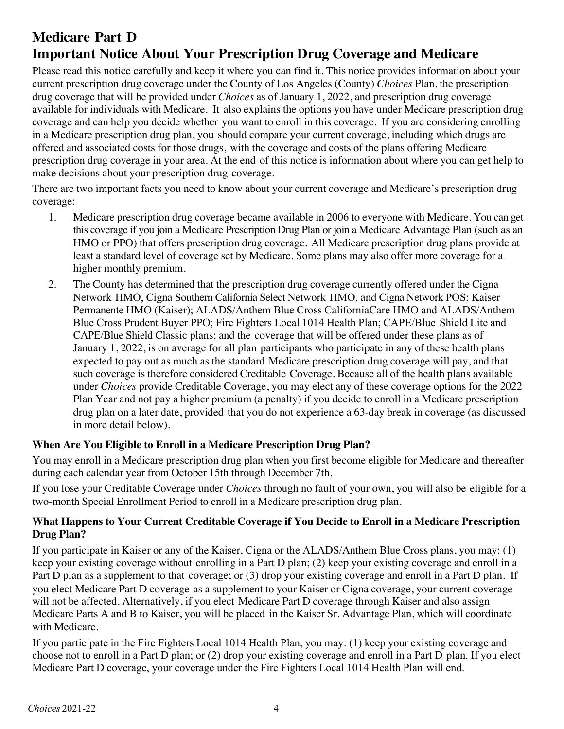# **Medicare Part D Important Notice About Your Prescription Drug Coverage and Medicare**

Please read this notice carefully and keep it where you can find it. This notice provides information about your current prescription drug coverage under the County of Los Angeles (County) *Choices* Plan, the prescription drug coverage that will be provided under *Choices* as of January 1, 2022, and prescription drug coverage available for individuals with Medicare. It also explains the options you have under Medicare prescription drug coverage and can help you decide whether you want to enroll in this coverage. If you are considering enrolling in a Medicare prescription drug plan, you should compare your current coverage, including which drugs are offered and associated costs for those drugs, with the coverage and costs of the plans offering Medicare prescription drug coverage in your area. At the end of this notice is information about where you can get help to make decisions about your prescription drug coverage.

There are two important facts you need to know about your current coverage and Medicare's prescription drug coverage:

- 1. Medicare prescription drug coverage became available in 2006 to everyone with Medicare. You can get this coverage if you join a Medicare Prescription Drug Plan or join a Medicare Advantage Plan (such as an HMO or PPO) that offers prescription drug coverage. All Medicare prescription drug plans provide at least a standard level of coverage set by Medicare. Some plans may also offer more coverage for a higher monthly premium.
- 2. The County has determined that the prescription drug coverage currently offered under the Cigna Network HMO, Cigna Southern California Select Network HMO, and Cigna Network POS; Kaiser Permanente HMO (Kaiser); ALADS/Anthem Blue Cross CaliforniaCare HMO and ALADS/Anthem Blue Cross Prudent Buyer PPO; Fire Fighters Local 1014 Health Plan; CAPE/Blue Shield Lite and CAPE/Blue Shield Classic plans; and the coverage that will be offered under these plans as of January 1, 2022, is on average for all plan participants who participate in any of these health plans expected to pay out as much as the standard Medicare prescription drug coverage will pay, and that such coverage is therefore considered Creditable Coverage. Because all of the health plans available under *Choices* provide Creditable Coverage, you may elect any of these coverage options for the 2022 Plan Year and not pay a higher premium (a penalty) if you decide to enroll in a Medicare prescription drug plan on a later date, provided that you do not experience a 63-day break in coverage (as discussed in more detail below).

## **When Are You Eligible to Enroll in a Medicare Prescription Drug Plan?**

You may enroll in a Medicare prescription drug plan when you first become eligible for Medicare and thereafter during each calendar year from October 15th through December 7th.

If you lose your Creditable Coverage under *Choices* through no fault of your own, you will also be eligible for a two-month Special Enrollment Period to enroll in a Medicare prescription drug plan.

## **What Happens to Your Current Creditable Coverage if You Decide to Enroll in a Medicare Prescription Drug Plan?**

If you participate in Kaiser or any of the Kaiser, Cigna or the ALADS/Anthem Blue Cross plans, you may: (1) keep your existing coverage without enrolling in a Part D plan; (2) keep your existing coverage and enroll in a Part D plan as a supplement to that coverage; or (3) drop your existing coverage and enroll in a Part D plan. If you elect Medicare Part D coverage as a supplement to your Kaiser or Cigna coverage, your current coverage will not be affected. Alternatively, if you elect Medicare Part D coverage through Kaiser and also assign Medicare Parts A and B to Kaiser, you will be placed in the Kaiser Sr. Advantage Plan, which will coordinate with Medicare.

If you participate in the Fire Fighters Local 1014 Health Plan, you may: (1) keep your existing coverage and choose not to enroll in a Part D plan; or (2) drop your existing coverage and enroll in a Part D plan. If you elect Medicare Part D coverage, your coverage under the Fire Fighters Local 1014 Health Plan will end.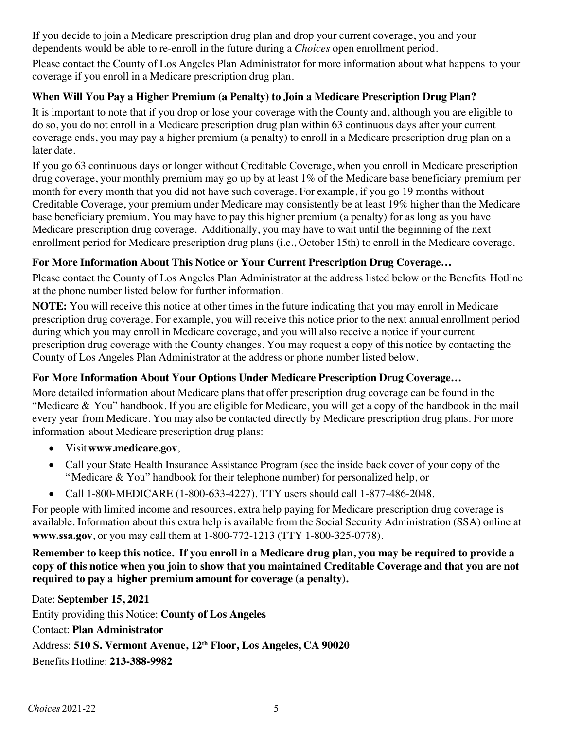If you decide to join a Medicare prescription drug plan and drop your current coverage, you and your dependents would be able to re-enroll in the future during a *Choices* open enrollment period.

Please contact the County of Los Angeles Plan Administrator for more information about what happens to your coverage if you enroll in a Medicare prescription drug plan.

## **When Will You Pay a Higher Premium (a Penalty) to Join a Medicare Prescription Drug Plan?**

It is important to note that if you drop or lose your coverage with the County and, although you are eligible to do so, you do not enroll in a Medicare prescription drug plan within 63 continuous days after your current coverage ends, you may pay a higher premium (a penalty) to enroll in a Medicare prescription drug plan on a later date.

If you go 63 continuous days or longer without Creditable Coverage, when you enroll in Medicare prescription drug coverage, your monthly premium may go up by at least 1% of the Medicare base beneficiary premium per month for every month that you did not have such coverage. For example, if you go 19 months without Creditable Coverage, your premium under Medicare may consistently be at least 19% higher than the Medicare base beneficiary premium. You may have to pay this higher premium (a penalty) for as long as you have Medicare prescription drug coverage. Additionally, you may have to wait until the beginning of the next enrollment period for Medicare prescription drug plans (i.e., October 15th) to enroll in the Medicare coverage.

## **For More Information About This Notice or Your Current Prescription Drug Coverage…**

Please contact the County of Los Angeles Plan Administrator at the address listed below or the Benefits Hotline at the phone number listed below for further information.

**NOTE:** You will receive this notice at other times in the future indicating that you may enroll in Medicare prescription drug coverage. For example, you will receive this notice prior to the next annual enrollment period during which you may enroll in Medicare coverage, and you will also receive a notice if your current prescription drug coverage with the County changes. You may request a copy of this notice by contacting the County of Los Angeles Plan Administrator at the address or phone number listed below.

## **For More Information About Your Options Under Medicare Prescription Drug Coverage…**

More detailed information about Medicare plans that offer prescription drug coverage can be found in the "Medicare & You" handbook. If you are eligible for Medicare, you will get a copy of the handbook in the mail every year from Medicare. You may also be contacted directly by Medicare prescription drug plans. For more information about Medicare prescription drug plans:

- Visit**www.medicare.gov**,
- Call your State Health Insurance Assistance Program (see the inside back cover of your copy of the "Medicare & You" handbook for their telephone number) for personalized help, or
- Call 1-800-MEDICARE (1-800-633-4227). TTY users should call 1-877-486-2048.

For people with limited income and resources, extra help paying for Medicare prescription drug coverage is available. Information about this extra help is available from the Social Security Administration (SSA) online at **www.ssa.gov**, or you may call them at 1-800-772-1213 (TTY 1-800-325-0778).

Remember to keep this notice. If you enroll in a Medicare drug plan, you may be required to provide a copy of this notice when you join to show that you maintained Creditable Coverage and that you are not **required to pay a higher premium amount for coverage (a penalty).**

Date: **September 15, 2021** Entity providing this Notice: **County of Los Angeles** Contact: **Plan Administrator** Address: **510 S. Vermont Avenue, 12th Floor, Los Angeles, CA 90020** Benefits Hotline: **213-388-9982**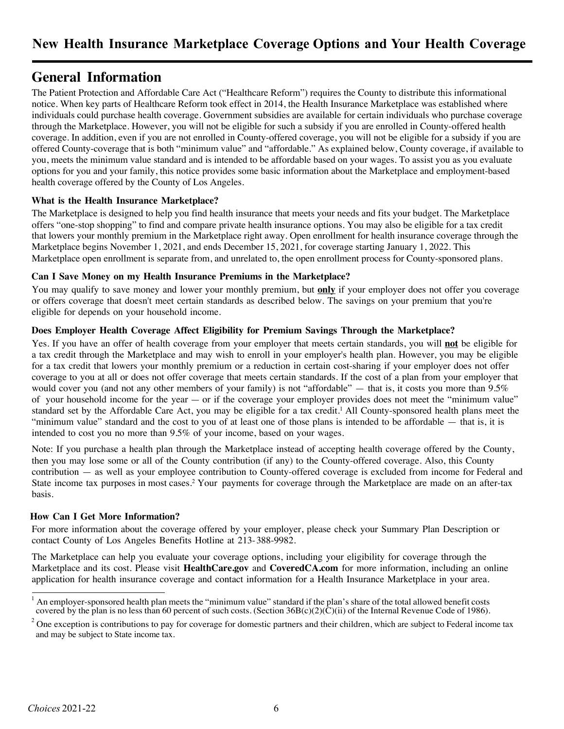## **General Information**

The Patient Protection and Affordable Care Act ("Healthcare Reform") requires the County to distribute this informational notice. When key parts of Healthcare Reform took effect in 2014, the Health Insurance Marketplace was established where individuals could purchase health coverage. Government subsidies are available for certain individuals who purchase coverage through the Marketplace. However, you will not be eligible for such a subsidy if you are enrolled in County-offered health coverage. In addition, even if you are not enrolled in County-offered coverage, you will not be eligible for a subsidy if you are offered County-coverage that is both "minimum value" and "affordable." As explained below, County coverage, if available to you, meets the minimum value standard and is intended to be affordable based on your wages. To assist you as you evaluate options for you and your family, this notice provides some basic information about the Marketplace and employment-based health coverage offered by the County of Los Angeles.

#### **What is the Health Insurance Marketplace?**

The Marketplace is designed to help you find health insurance that meets your needs and fits your budget. The Marketplace offers "one-stop shopping" to find and compare private health insurance options. You may also be eligible for a tax credit that lowers your monthly premium in the Marketplace right away. Open enrollment for health insurance coverage through the Marketplace begins November 1, 2021, and ends December 15, 2021, for coverage starting January 1, 2022. This Marketplace open enrollment is separate from, and unrelated to, the open enrollment process for County-sponsored plans.

#### **Can I Save Money on my Health Insurance Premiums in the Marketplace?**

You may qualify to save money and lower your monthly premium, but **only** if your employer does not offer you coverage or offers coverage that doesn't meet certain standards as described below. The savings on your premium that you're eligible for depends on your household income.

#### **Does Employer Health Coverage Affect Eligibility for Premium Savings Through the Marketplace?**

Yes. If you have an offer of health coverage from your employer that meets certain standards, you will **not** be eligible for a tax credit through the Marketplace and may wish to enroll in your employer's health plan. However, you may be eligible for a tax credit that lowers your monthly premium or a reduction in certain cost-sharing if your employer does not offer coverage to you at all or does not offer coverage that meets certain standards. If the cost of a plan from your employer that would cover you (and not any other members of your family) is not "affordable" — that is, it costs you more than  $9.5\%$ of your household income for the year — or if the coverage your employer provides does not meet the "minimum value" standard set by the Affordable Care Act, you may be eligible for a tax credit. <sup>1</sup> All County-sponsored health plans meet the "minimum value" standard and the cost to you of at least one of those plans is intended to be affordable — that is, it is intended to cost you no more than 9.5% of your income, based on your wages.

Note: If you purchase a health plan through the Marketplace instead of accepting health coverage offered by the County, then you may lose some or all of the County contribution (if any) to the County-offered coverage. Also, this County contribution — as well as your employee contribution to County-offered coverage is excluded from income for Federal and State income tax purposes in most cases.2 Your payments for coverage through the Marketplace are made on an after-tax basis.

#### **How Can I Get More Information?**

For more information about the coverage offered by your employer, please check your Summary Plan Description or contact County of Los Angeles Benefits Hotline at 213-388-9982.

The Marketplace can help you evaluate your coverage options, including your eligibility for coverage through the Marketplace and its cost. Please visit **HealthCare.gov** and **CoveredCA.com** for more information, including an online application for health insurance coverage and contact information for a Health Insurance Marketplace in your area.

<sup>1</sup> An employer-sponsored health plan meets the "minimum value" standard if the plan's share of the total allowed benefit costs covered by the plan is no less than 60 percent of such costs. (Section  $36B(c)(2)(\tilde{C})$ (ii) of the Internal Revenue Code of 1986).

<sup>&</sup>lt;sup>2</sup> One exception is contributions to pay for coverage for domestic partners and their children, which are subject to Federal income tax and may be subject to State income tax.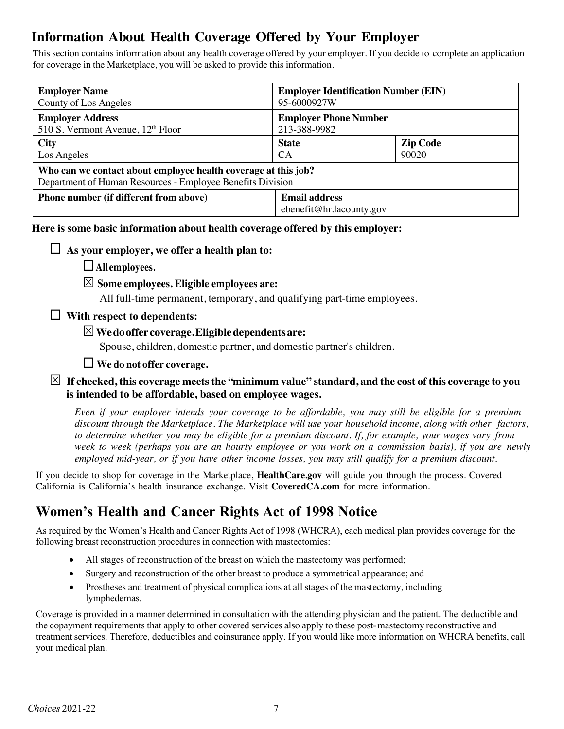# **Information About Health Coverage Offered by Your Employer**

This section contains information about any health coverage offered by your employer. If you decide to complete an application for coverage in the Marketplace, you will be asked to provide this information.

| <b>Employer Name</b>                                                                                                         | <b>Employer Identification Number (EIN)</b>      |                 |  |  |
|------------------------------------------------------------------------------------------------------------------------------|--------------------------------------------------|-----------------|--|--|
| County of Los Angeles                                                                                                        | 95-6000927W                                      |                 |  |  |
| <b>Employer Address</b>                                                                                                      | <b>Employer Phone Number</b>                     |                 |  |  |
| 510 S. Vermont Avenue, 12 <sup>th</sup> Floor                                                                                | 213-388-9982                                     |                 |  |  |
| <b>City</b>                                                                                                                  | <b>State</b>                                     | <b>Zip Code</b> |  |  |
| Los Angeles                                                                                                                  | <b>CA</b>                                        | 90020           |  |  |
| Who can we contact about employee health coverage at this job?<br>Department of Human Resources - Employee Benefits Division |                                                  |                 |  |  |
| <b>Phone number (if different from above)</b>                                                                                | <b>Email address</b><br>ebenefit@hr.lacounty.gov |                 |  |  |

**Here is some basic information about health coverage offered by this employer:**

 $\Box$  As your employer, we offer a health plan to:

¨**Allemployees.**

### S **Some employees. Eligible employees are:**

All full-time permanent, temporary, and qualifying part-time employees.

## ¨ **With respect to dependents:**

## S**Wedooffer coverage.Eligibledependentsare:**

Spouse, children, domestic partner, and domestic partner's children.

## ¨ **We do not offer coverage.**

#### $\boxtimes$  If checked, this coverage meets the "minimum value" standard, and the cost of this coverage to you **is intended to be affordable, based on employee wages.**

Even if your employer intends your coverage to be affordable, you may still be eligible for a premium *discount through the Marketplace. The Marketplace will use your household income, along with other factors,* to determine whether you may be eligible for a premium discount. If, for example, your wages vary from week to week (perhaps you are an hourly employee or you work on a commission basis), if you are newly *employed mid-year, or if you have other income losses, you may still qualify for a premium discount.*

If you decide to shop for coverage in the Marketplace, **HealthCare.gov** will guide you through the process. Covered California is California's health insurance exchange. Visit **CoveredCA.com** for more information.

## **Women's Health and Cancer Rights Act of 1998 Notice**

As required by the Women's Health and Cancer Rights Act of 1998 (WHCRA), each medical plan provides coverage for the following breast reconstruction procedures in connection with mastectomies:

- All stages of reconstruction of the breast on which the mastectomy was performed;
- Surgery and reconstruction of the other breast to produce a symmetrical appearance; and
- Prostheses and treatment of physical complications at all stages of the mastectomy, including lymphedemas.

Coverage is provided in a manner determined in consultation with the attending physician and the patient. The deductible and the copayment requirements that apply to other covered services also apply to these post-mastectomy reconstructive and treatment services. Therefore, deductibles and coinsurance apply. If you would like more information on WHCRA benefits, call your medical plan.